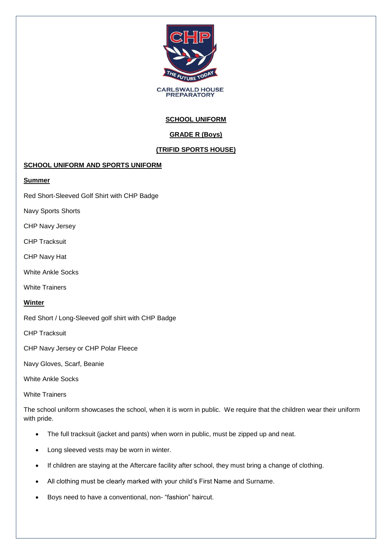

**CARLSWALD HOUSE**<br>PREPARATORY

# **SCHOOL UNIFORM**

## **GRADE R (Boys)**

## **(TRIFID SPORTS HOUSE)**

### **SCHOOL UNIFORM AND SPORTS UNIFORM**

### **Summer**

Red Short-Sleeved Golf Shirt with CHP Badge

Navy Sports Shorts

CHP Navy Jersey

CHP Tracksuit

CHP Navy Hat

White Ankle Socks

White Trainers

#### **Winter**

Red Short / Long-Sleeved golf shirt with CHP Badge

CHP Tracksuit

CHP Navy Jersey or CHP Polar Fleece

Navy Gloves, Scarf, Beanie

White Ankle Socks

White Trainers

The school uniform showcases the school, when it is worn in public. We require that the children wear their uniform with pride.

- The full tracksuit (jacket and pants) when worn in public, must be zipped up and neat.
- Long sleeved vests may be worn in winter.
- If children are staying at the Aftercare facility after school, they must bring a change of clothing.
- All clothing must be clearly marked with your child's First Name and Surname.
- Boys need to have a conventional, non- "fashion" haircut.